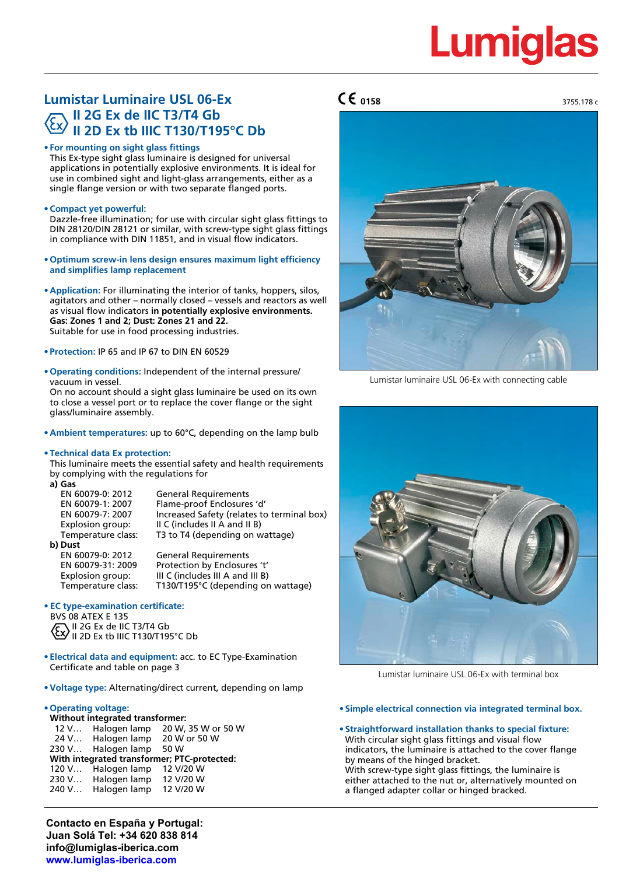3755.178 c

# **Lumistar Luminaire USL 06-Ex II 2G Ex de IIC T3/T4 Gb II 2D Ex tb IIIC T130/T195°C Db**

#### **• For mounting on sight glass fittings**

This Ex-type sight glass luminaire is designed for universal applications in potentially explosive environments. It is ideal for use in combined sight and light-glass arrangements, either as a single flange version or with two separate flanged ports.

#### **• Compact yet powerful:**

Dazzle-free illumination; for use with circular sight glass fittings to DIN 28120/DIN 28121 or similar, with screw-type sight glass fittings in compliance with DIN 11851, and in visual flow indicators.

- **• Optimum screw-in lens design ensures maximum light efficiency and simplifies lamp replacement**
- **• Application:** For illuminating the interior of tanks, hoppers, silos, agitators and other – normally closed – vessels and reactors as well as visual flow indicators **in potentially explosive environments. Gas: Zones 1 and 2; Dust: Zones 21 and 22.** Suitable for use in food processing industries.
- **• Protection:** IP 65 and IP 67 to DIN EN 60529
- **• Operating conditions:** Independent of the internal pressure/ vacuum in vessel.

On no account should a sight glass luminaire be used on its own to close a vessel port or to replace the cover flange or the sight glass/luminaire assembly.

- **• Ambient temperatures:** up to 60°C, depending on the lamp bulb
- **• Technical data Ex protection:**

This luminaire meets the essential safety and health requirements by complying with the regulations for

| × | $-$<br>. .<br>M. |
|---|------------------|

| EN 60079-0: 2012   | <b>General Requirements</b>                |
|--------------------|--------------------------------------------|
| EN 60079-1: 2007   | Flame-proof Enclosures 'd'                 |
| EN 60079-7: 2007   | Increased Safety (relates to terminal box) |
| Explosion group:   | II C (includes II A and II B)              |
| Temperature class: | T3 to T4 (depending on wattage)            |
| b) Dust            |                                            |
| EN 60079-0: 2012   | <b>General Requirements</b>                |
| EN 60079-31: 2009  | Protection by Enclosures 't'               |
|                    |                                            |

Explosion group: III C (includes III A and III B)<br>Temperature class: T130/T195°C (depending on T130/T195°C (depending on wattage)

### **• EC type-examination certificate:**

BVS 08 ATEX E 135 II 2G Ex de IIC T3/T4 Gb  $\langle \xi \chi \rangle$ <sup>II 2G</sup> Ex tb IIIC T130/T195°C Db

- **• Electrical data and equipment:** acc. to EC Type-Examination Certificate and table on page 3
- **•Voltage type:** Alternating/direct current, depending on lamp

### **• Operating voltage:**

| Without integrated transformer:             |                                |                    |  |  |  |  |
|---------------------------------------------|--------------------------------|--------------------|--|--|--|--|
| 12 V                                        | Halogen lamp                   | 20 W, 35 W or 50 W |  |  |  |  |
|                                             | 24 V Halogen lamp 20 W or 50 W |                    |  |  |  |  |
|                                             | 230 V Halogen lamp             | 50 W               |  |  |  |  |
| With integrated transformer; PTC-protected: |                                |                    |  |  |  |  |
| 120 V                                       | Halogen lamp                   | 12 V/20 W          |  |  |  |  |
|                                             | 230 V Halogen lamp             | 12 V/20 W          |  |  |  |  |
| 240 V                                       | Halogen lamp                   | 12 V/20 W          |  |  |  |  |
|                                             |                                |                    |  |  |  |  |

**Contacto en España y Portugal: Juan Solá Tel: +34 620 838 814 info@lumiglas-iberica.com www.lumiglas-iberica.com**

# **0158**



Lumistar luminaire USL 06-Ex with connecting cable



Lumistar luminaire USL 06-Ex with terminal box

- **• Simple electrical connection via integrated terminal box.**
- **• Straightforward installation thanks to special fixture:** With circular sight glass fittings and visual flow indicators, the luminaire is attached to the cover flange by means of the hinged bracket. With screw-type sight glass fittings, the luminaire is either attached to the nut or, alternatively mounted on a flanged adapter collar or hinged bracked.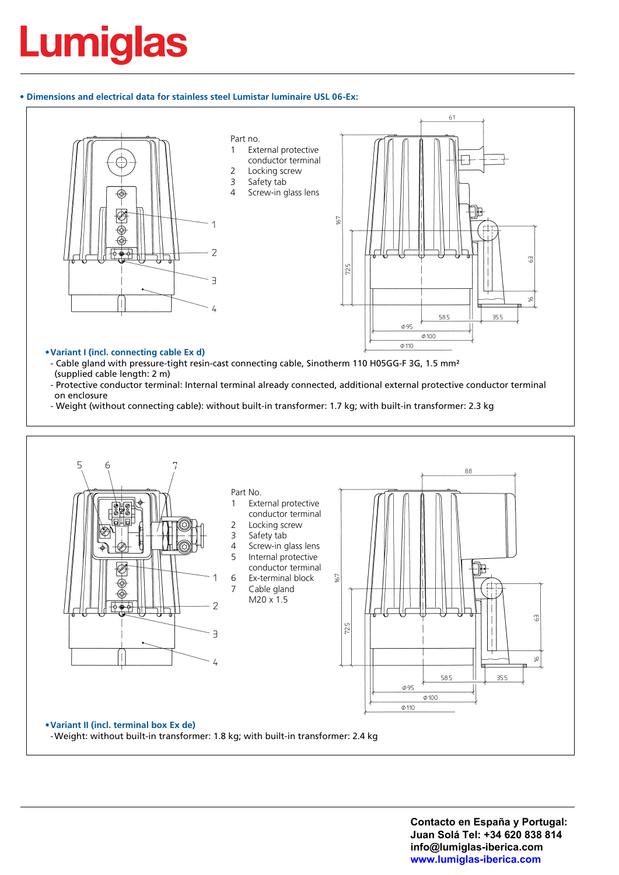### **• Dimensions and electrical data for stainless steel Lumistar luminaire USL 06-Ex:**



- Cable gland with pressure-tight resin-cast connecting cable, Sinotherm 110 H05GG-F 3G, 1.5 mm<sup>2</sup> (supplied cable length: 2 m)
- Protective conductor terminal: Internal terminal already connected, additional external protective conductor terminal on enclosure
- Weight (without connecting cable): without built-in transformer: 1.7 kg; with built-in transformer: 2.3 kg



**Contacto en España y Portugal: Juan Solá Tel: +34 620 838 814 info@lumiglas-iberica.com www.lumiglas-iberica.com**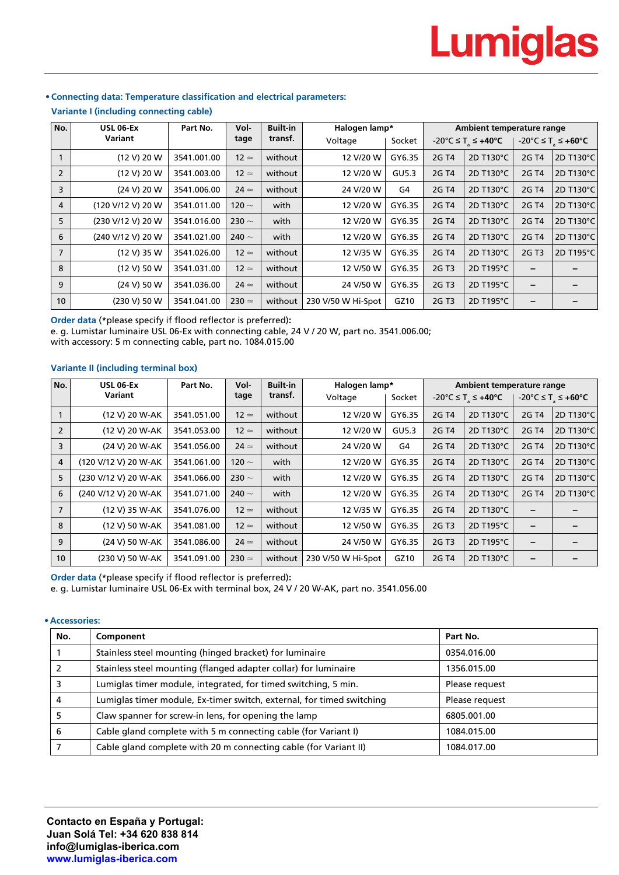#### **No. USL 06-Ex Variant** Part No. Vol**tage Built-in transf. Halogen lamp\* Voltage** | Socket **Ambient temperature range**  $-20^{\circ}$ C ≤ T<sub>a</sub> ≤ **+40°C** +  $-20^{\circ}$ C ≤ T<sub>a</sub> ≤ **+60°C** 1 (12 V) 20 W 3541.001.00 12 . without 12 V/20 W GY6.35 2G T4 2D T130°C 2G T4 2D T130°C 2  $|$  (12 V) 20 W  $|$  3541.003.00  $|$  12  $\simeq$   $|$  without  $|$  . We are 12 V/20 W  $|$  GU5.3  $|$  2G T4  $|$  2D T130°C  $|$  2G T4  $|$  2D T130°C 3  $|$  (24 V) 20 W  $|$  3541.006.00  $|$  24  $\simeq$   $|$  without  $|$   $|$  24 V/20 W  $|$  G4  $|$  2G T4  $|$  2D T130°C  $|$  2G T4  $|$  2D T130°C  $4$  (120 V/12 V) 20 W  $3541.011.00$   $120 \sim$  with 12 V/20 W GY6.35 2G T4 2D T130°C 2G T4 2D T130°C 5 (230 V/12 V) 20 W  $\big|$  3541.016.00  $\big|$  230  $\sim$   $\big|$  with  $\big|$  12 V/20 W GY6.35  $\big|$  2G T4  $\big|$  2D T130°C  $\big|$  2G T4  $\big|$  2D T130°C 6 (240 V/12 V) 20 W 3541.021.00 240 ~ with 12 V/20 W GY6.35 2G T4 2D T130°C 2G T4 2D T130°C 7 | (12 V) 35 W | 3541.026.00 | 12  $\simeq$  | without | 12 V/35 W | GY6.35 | 2G T4 | 2D T130℃ | 2G T3 |2D T195℃ 8 (12 V) 50 W 3541.031.00 12 . without 12 V/50 W GY6.35 2G T3 2D T195°C **– –** 9 (24 V) 50 W 3541.036.00 24 . without 24 V/50 W GY6.35 2G T3 2D T195°C **– –** 10 (230 V) 50 W 3541.041.00 230  $\simeq$  without 230 V/50 W Hi-Spot GZ10 2G T3 2D T195°C **–**

## **• Connecting data: Temperature classification and electrical parameters:**

**Variante I (including connecting cable)**

**Order data** (**\***please specify if flood reflector is preferred)**:**

e. g. Lumistar luminaire USL 06-Ex with connecting cable, 24 V / 20 W, part no. 3541.006.00;

with accessory: 5 m connecting cable, part no. 1084.015.00

## **Variante II (including terminal box)**

| No.            | <b>USL 06-Ex</b>     | Part No.    | Vol-          | <b>Built-in</b> | Halogen lamp*      |        | Ambient temperature range |                                                    |                          |                   |
|----------------|----------------------|-------------|---------------|-----------------|--------------------|--------|---------------------------|----------------------------------------------------|--------------------------|-------------------|
|                | Variant              |             | tage          | transf.         | Voltage            | Socket |                           | $-20^{\circ}$ C $\leq$ T <sub>s</sub> $\leq$ +40°C |                          | -20°C ≤ T ≤ +60°C |
|                | (12 V) 20 W-AK       | 3541.051.00 | $12 \simeq$   | without         | 12 V/20 W          | GY6.35 | 2G T4                     | 2D T130°C                                          | 2G T4                    | 2D T130°C         |
| $\overline{2}$ | (12 V) 20 W-AK       | 3541.053.00 | $12 \simeq$   | without         | 12 V/20 W          | GU5.3  | 2G T4                     | 2D T130°C                                          | 2G T4                    | 2D T130°C         |
| 3              | (24 V) 20 W-AK       | 3541.056.00 | $24 \simeq$   | without         | 24 V/20 W          | G4     | 2G T4                     | 2D T130°C                                          | 2G T4                    | 2D T130°C         |
| $\overline{4}$ | (120 V/12 V) 20 W-AK | 3541.061.00 | 120 $\sim$    | with            | 12 V/20 W          | GY6.35 | 2G T4                     | 2D T130°C                                          | 2G T4                    | 2D T130°C         |
| 5              | (230 V/12 V) 20 W-AK | 3541.066.00 | 230 $\sim$    | with            | 12 V/20 W          | GY6.35 | 2G T4                     | 2D T130°C                                          | 2G T4                    | 2D T130°C         |
| 6              | (240 V/12 V) 20 W-AK | 3541.071.00 | 240 $\sim$    | with            | 12 V/20 W          | GY6.35 | 2G T4                     | 2D T130°C                                          | 2G T4                    | 2D T130°C         |
| $\overline{7}$ | (12 V) 35 W-AK       | 3541.076.00 | $12 \simeq$   | without         | 12 V/35 W          | GY6.35 | 2G T4                     | 2D T130°C                                          | $\overline{\phantom{0}}$ | -                 |
| 8              | (12 V) 50 W-AK       | 3541.081.00 | $12 \simeq$   | without         | 12 V/50 W          | GY6.35 | 2G T3                     | 2D T195°C                                          |                          |                   |
| 9              | (24 V) 50 W-AK       | 3541.086.00 | $24 \simeq$   | without         | 24 V/50 W          | GY6.35 | 2G T3                     | 2D T195°C                                          | $\overline{\phantom{0}}$ | -                 |
| 10             | (230 V) 50 W-AK      | 3541.091.00 | $230 \approx$ | without         | 230 V/50 W Hi-Spot | GZ10   | 2G T4                     | 2D T130°C                                          | $\qquad \qquad$          | -                 |

**Order data** (**\***please specify if flood reflector is preferred)**:**

e. g. Lumistar luminaire USL 06-Ex with terminal box, 24 V / 20 W-AK, part no. 3541.056.00

#### **• Accessories:**

| No. | Component                                                             | Part No.       |
|-----|-----------------------------------------------------------------------|----------------|
|     | Stainless steel mounting (hinged bracket) for luminaire               | 0354.016.00    |
|     | Stainless steel mounting (flanged adapter collar) for luminaire       | 1356.015.00    |
|     | Lumiglas timer module, integrated, for timed switching, 5 min.        | Please request |
| 4   | Lumiglas timer module, Ex-timer switch, external, for timed switching | Please request |
|     | Claw spanner for screw-in lens, for opening the lamp                  | 6805.001.00    |
| 6   | Cable gland complete with 5 m connecting cable (for Variant I)        | 1084.015.00    |
|     | Cable gland complete with 20 m connecting cable (for Variant II)      | 1084.017.00    |